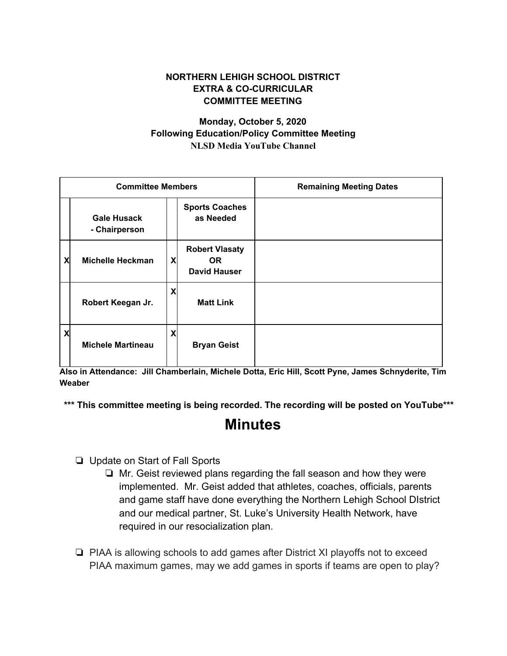## **NORTHERN LEHIGH SCHOOL DISTRICT EXTRA & CO-CURRICULAR COMMITTEE MEETING**

## **Monday, October 5, 2020 Following Education/Policy Committee Meeting NLSD Media YouTube Channel**

| <b>Committee Members</b> |                                     |                           |                                                           | <b>Remaining Meeting Dates</b> |
|--------------------------|-------------------------------------|---------------------------|-----------------------------------------------------------|--------------------------------|
|                          | <b>Gale Husack</b><br>- Chairperson |                           | <b>Sports Coaches</b><br>as Needed                        |                                |
| X                        | Michelle Heckman                    | X                         | <b>Robert Vlasaty</b><br><b>OR</b><br><b>David Hauser</b> |                                |
|                          | Robert Keegan Jr.                   | X                         | <b>Matt Link</b>                                          |                                |
| X                        | <b>Michele Martineau</b>            | $\boldsymbol{\mathsf{X}}$ | <b>Bryan Geist</b>                                        |                                |

**Also in Attendance: Jill Chamberlain, Michele Dotta, Eric Hill, Scott Pyne, James Schnyderite, Tim Weaber**

**\*\*\* This committee meeting is being recorded. The recording will be posted on YouTube\*\*\***

## **Minutes**

- ❏ Update on Start of Fall Sports
	- ❏ Mr. Geist reviewed plans regarding the fall season and how they were implemented. Mr. Geist added that athletes, coaches, officials, parents and game staff have done everything the Northern Lehigh School DIstrict and our medical partner, St. Luke's University Health Network, have required in our resocialization plan.
- ❏ PIAA is allowing schools to add games after District XI playoffs not to exceed PIAA maximum games, may we add games in sports if teams are open to play?